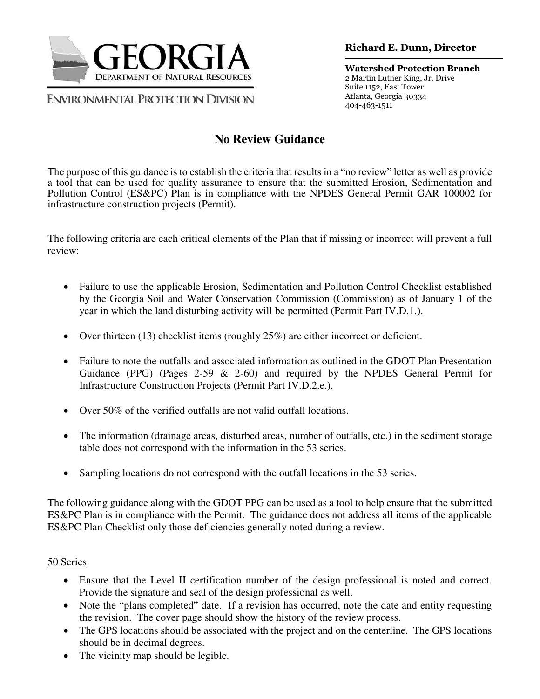

**ENVIRONMENTAL PROTECTION DIVISION** 

**Richard E. Dunn, Director** 

**Watershed Protection Branch**  2 Martin Luther King, Jr. Drive Suite 1152, East Tower Atlanta, Georgia 30334 404-463-1511

# **No Review Guidance**

The purpose of this guidance is to establish the criteria that results in a "no review" letter as well as provide a tool that can be used for quality assurance to ensure that the submitted Erosion, Sedimentation and Pollution Control (ES&PC) Plan is in compliance with the NPDES General Permit GAR 100002 for infrastructure construction projects (Permit).

The following criteria are each critical elements of the Plan that if missing or incorrect will prevent a full review:

- Failure to use the applicable Erosion, Sedimentation and Pollution Control Checklist established by the Georgia Soil and Water Conservation Commission (Commission) as of January 1 of the year in which the land disturbing activity will be permitted (Permit Part IV.D.1.).
- Over thirteen  $(13)$  checklist items (roughly  $25\%$ ) are either incorrect or deficient.
- Failure to note the outfalls and associated information as outlined in the GDOT Plan Presentation Guidance (PPG) (Pages 2-59  $\&$  2-60) and required by the NPDES General Permit for Infrastructure Construction Projects (Permit Part IV.D.2.e.).
- Over 50% of the verified outfalls are not valid outfall locations.
- The information (drainage areas, disturbed areas, number of outfalls, etc.) in the sediment storage table does not correspond with the information in the 53 series.
- Sampling locations do not correspond with the outfall locations in the 53 series.

The following guidance along with the GDOT PPG can be used as a tool to help ensure that the submitted ES&PC Plan is in compliance with the Permit. The guidance does not address all items of the applicable ES&PC Plan Checklist only those deficiencies generally noted during a review.

## 50 Series

- Ensure that the Level II certification number of the design professional is noted and correct. Provide the signature and seal of the design professional as well.
- Note the "plans completed" date. If a revision has occurred, note the date and entity requesting the revision. The cover page should show the history of the review process.
- The GPS locations should be associated with the project and on the centerline. The GPS locations should be in decimal degrees.
- The vicinity map should be legible.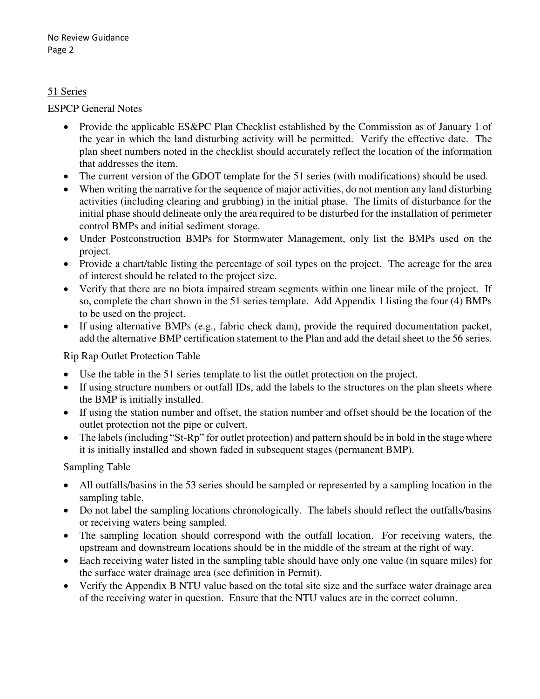#### 51 Series

#### ESPCP General Notes

- Provide the applicable ES&PC Plan Checklist established by the Commission as of January 1 of the year in which the land disturbing activity will be permitted. Verify the effective date. The plan sheet numbers noted in the checklist should accurately reflect the location of the information that addresses the item.
- The current version of the GDOT template for the 51 series (with modifications) should be used.
- When writing the narrative for the sequence of major activities, do not mention any land disturbing activities (including clearing and grubbing) in the initial phase. The limits of disturbance for the initial phase should delineate only the area required to be disturbed for the installation of perimeter control BMPs and initial sediment storage.
- Under Postconstruction BMPs for Stormwater Management, only list the BMPs used on the project.
- Provide a chart/table listing the percentage of soil types on the project. The acreage for the area of interest should be related to the project size.
- Verify that there are no biota impaired stream segments within one linear mile of the project. If so, complete the chart shown in the 51 series template. Add Appendix 1 listing the four (4) BMPs to be used on the project.
- If using alternative BMPs (e.g., fabric check dam), provide the required documentation packet, add the alternative BMP certification statement to the Plan and add the detail sheet to the 56 series.

## Rip Rap Outlet Protection Table

- Use the table in the 51 series template to list the outlet protection on the project.
- If using structure numbers or outfall IDs, add the labels to the structures on the plan sheets where the BMP is initially installed.
- If using the station number and offset, the station number and offset should be the location of the outlet protection not the pipe or culvert.
- The labels (including "St-Rp" for outlet protection) and pattern should be in bold in the stage where it is initially installed and shown faded in subsequent stages (permanent BMP).

#### Sampling Table

- All outfalls/basins in the 53 series should be sampled or represented by a sampling location in the sampling table.
- Do not label the sampling locations chronologically. The labels should reflect the outfalls/basins or receiving waters being sampled.
- The sampling location should correspond with the outfall location. For receiving waters, the upstream and downstream locations should be in the middle of the stream at the right of way.
- Each receiving water listed in the sampling table should have only one value (in square miles) for the surface water drainage area (see definition in Permit).
- Verify the Appendix B NTU value based on the total site size and the surface water drainage area of the receiving water in question. Ensure that the NTU values are in the correct column.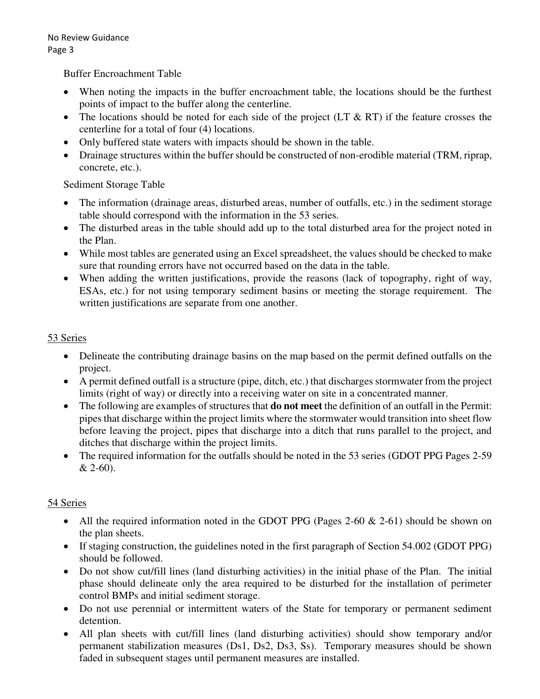Buffer Encroachment Table

- When noting the impacts in the buffer encroachment table, the locations should be the furthest points of impact to the buffer along the centerline.
- The locations should be noted for each side of the project  $(LT \& RT)$  if the feature crosses the centerline for a total of four (4) locations.
- Only buffered state waters with impacts should be shown in the table.
- Drainage structures within the buffer should be constructed of non-erodible material (TRM, riprap, concrete, etc.).

Sediment Storage Table

- The information (drainage areas, disturbed areas, number of outfalls, etc.) in the sediment storage table should correspond with the information in the 53 series.
- The disturbed areas in the table should add up to the total disturbed area for the project noted in the Plan.
- While most tables are generated using an Excel spreadsheet, the values should be checked to make sure that rounding errors have not occurred based on the data in the table.
- When adding the written justifications, provide the reasons (lack of topography, right of way, ESAs, etc.) for not using temporary sediment basins or meeting the storage requirement. The written justifications are separate from one another.

# 53 Series

- Delineate the contributing drainage basins on the map based on the permit defined outfalls on the project.
- A permit defined outfall is a structure (pipe, ditch, etc.) that discharges stormwater from the project limits (right of way) or directly into a receiving water on site in a concentrated manner.
- The following are examples of structures that **do not meet** the definition of an outfall in the Permit: pipes that discharge within the project limits where the stormwater would transition into sheet flow before leaving the project, pipes that discharge into a ditch that runs parallel to the project, and ditches that discharge within the project limits.
- The required information for the outfalls should be noted in the 53 series (GDOT PPG Pages 2-59 & 2-60).

# 54 Series

- All the required information noted in the GDOT PPG (Pages 2-60  $\&$  2-61) should be shown on the plan sheets.
- If staging construction, the guidelines noted in the first paragraph of Section 54.002 (GDOT PPG) should be followed.
- Do not show cut/fill lines (land disturbing activities) in the initial phase of the Plan. The initial phase should delineate only the area required to be disturbed for the installation of perimeter control BMPs and initial sediment storage.
- Do not use perennial or intermittent waters of the State for temporary or permanent sediment detention.
- All plan sheets with cut/fill lines (land disturbing activities) should show temporary and/or permanent stabilization measures (Ds1, Ds2, Ds3, Ss). Temporary measures should be shown faded in subsequent stages until permanent measures are installed.